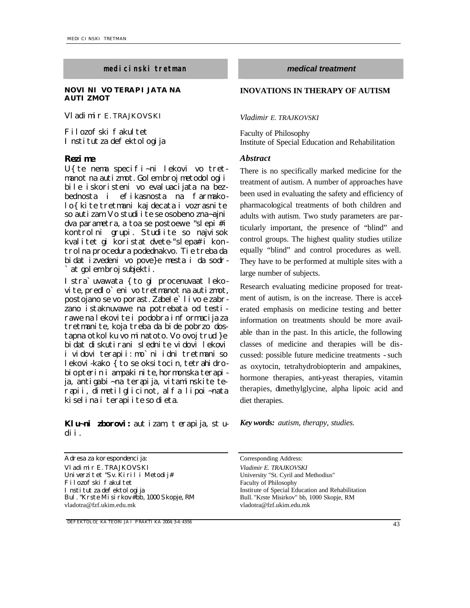### *medicinski tretman medical treatment*

### **NOVINI VO TERAPIJATA NA AUTIZMOT**

*Vladimir E. TRAJKOVSKI*

Filozofski fakultet Institut za defektologija

### *Rezime Abstract*

U{ te nema specifi~ni lekovi vo tretmanot na autizmot. Golem broj metodologii bile iskoristeni vo evaluacijata na bezbednosta i efikasnosta na farmakolo{kite tretmani kaj decata i vozrasnite so autizam. Vo studi i te se osobeno zna~ajni dva parametra, a toa se postoewe "slepi  $\#$ i kontrolni grupi. Studiite so najvisok kvalitet gi koristat dvete-"slepa# i kon trolna procedura podednakvo. Tie treba da bidat izvedeni vo pove}e mesta i da sodr at gol em broj subjekti.

Istra`uvawata {to gi procenuvaat lekovite, predlo`eni vo tretmanot na autizmot, postojano se vo porast. Zabele`livo e zabrzano istaknuvawe na potrebata od testirawe na lekovite i podobra informacija za tretmanite, koja treba da bide pobrzo dostapna otkolku vo minatoto. Vo ovoj trud }e bidat diskutirani slednite vidovi lekovi i vidovi terapii: mo`ni idni tretmani so lekovi-kako { to se oksitocin, tetrahidrobiopterin i ampakinite, hormonska terapija, antigabi~na terapija, vitaminskite terapii, dimetilglicinot, alfa lipoi~nata kiselina i terapiite so dieta.

*Klu~ni zborovi: autizam, terapija, studii.*

Adresa za korespondencija: Corresponding Address: *Vladimir E. TRAJKOVSKI Vladimir E. TRAJKOVSKI* Univerzit et "Sv. Kiril i Metodij# Filozofski fakultet Institut za defektologija Bul. "Krste Misirkov# bb, 1000 Skopje, RM vladotra@fzf.ukim.edu.mk

*DEFEKTOLO[KA TEORIJA I PRAKTIKA 2004; 3-4: 43-56* 43

## **INOVATIONS IN THERAPY OF AUTISM**

*Vladimir E. TRAJKOVSKI*

Faculty of Philosophy Institute of Special Education and Rehabilitation

There is no specifically marked medicine for the treatment of autism. A number of approaches have been used in evaluating the safety and efficiency of pharmacological treatments of both children and adults with autism. Two study parameters are particularly important, the presence of "blind" and control groups. The highest quality studies utilize equally "blind" and control procedures as well. They have to be performed at multiple sites with a large number of subjects.

Research evaluating medicine proposed for treatment of autism, is on the increase. There is accelerated emphasis on medicine testing and better information on treatments should be more available than in the past. In this article, the following classes of medicine and therapies will be discussed: possible future medicine treatments - such as oxytocin, tetrahydrobiopterin and ampakines, hormone therapies, anti-yeast therapies, vitamin therapies, dimethylglycine, alpha lipoic acid and diet therapies.

*Key words: autism, therapy, studies.*

University "St. Cyril and Methodius" Faculty of Philosophy Institute of Special Education and Rehabilitation Bull. "Krste Misirkov" bb, 1000 Skopje, RM vladotra@fzf.ukim.edu.mk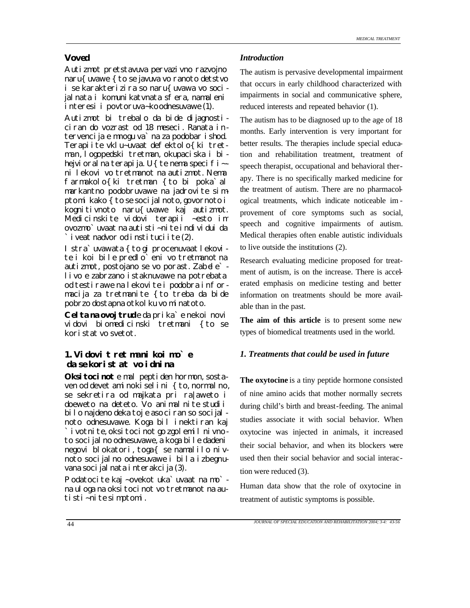Autizmot pretstavuva pervazivno razvojno naru{ uvawe { to se javuva vo ranoto detstvo i se karakterizira so naru{uvawa vo socijalnata i komunikatvnata sfera, namaleni interesi i povtoruva~ko odnesuvawe (1).

Autizmot bi trebalo da bide dijagnosticiran do vozrast od 18 meseci. Ranata intervencija e mnogu va`na za podobar ishod. Terapiite vklu~uvaat defektolo{ki tretman, logopedski tretman, okupaciska i bihejvioral na terapija. U{te nema specifi~ni lekovi vo tretmanot na autizmot. Nema farmakolo{ki tretman {to bi poka`al markantno podobruvawe na jadrovite simptomi kako { to se socijalnoto, govornoto i kognitivnoto naru{uvawe kaj autizmot. Medicinskite vidovi terapii ~esto im ovozmo`uvaat na autisti~nite individui da `iveat nadvor od instituciite (2).

Istra`uvawata { to gi procenuvaat lekovi te i koi bile predlo`eni vo tretmanot na autizmot, postojano se vo porast. Zabele` livo e zabrzano istaknuvawe na potrebata od testirawe na lekovite i podobra informacija za tretmanite {to treba da bide pobrzo dostapna otkol ku vo minatoto.

**Celta na ovoj trud**e da prika`e nekoi novi vidovi biomedicinski tretmani {to se koristat vo svetot.

## *1. Vidovi tretmani koi mo`e da se koristat vo idnina*

**Oksitocinot** e mal peptiden hormon, sostaven od devet aminoki sel i ni { to, normal no, se sekretira od majkata pri ra|aweto i doeweto na deteto. Vo animalnite studii bilo najdeno deka toj e asociran so socijal noto odnesuvawe. Koga bil inektiran kaj ivotnite, oksitocinot go zgolemil nivnoto socijalno odnesuvawe, a koga bile dadeni negovi blokatori, toga{ se namalilo nivnoto socijalno odnesuvawe i bila izbegnuvana socijal nata i nterakcija (3).

Podatocite kaj ~ovekot uka`uvaat na mo` na uloga na oksi toci not vo tretmanot na autisti~nite simptomi.

## *Voved Introduction*

The autism is pervasive developmental impairment that occurs in early childhood characterized with impairments in social and communicative sphere, reduced interests and repeated behavior (1).

The autism has to be diagnosed up to the age of 18 months. Early intervention is very important for better results. The therapies include special education and rehabilitation treatment, treatment of speech therapist, occupational and behavioral therapy. There is no specifically marked medicine for the treatment of autism. There are no pharmacological treatments, which indicate noticeable im provement of core symptoms such as social, speech and cognitive impairments of autism. Medical therapies often enable autistic individuals to live outside the institutions (2).

Research evaluating medicine proposed for treatment of autism, is on the increase. There is accelerated emphasis on medicine testing and better information on treatments should be more available than in the past.

**The aim of this article** is to present some new types of biomedical treatments used in the world.

## *1. Treatments that could be used in future*

**The oxytocine** is a tiny peptide hormone consisted of nine amino acids that mother normally secrets during child's birth and breast-feeding. The animal studies associate it with social behavior. When oxytocine was injected in animals, it increased their social behavior, and when its blockers were used then their social behavior and social interaction were reduced (3).

Human data show that the role of oxytocine in treatment of autistic symptoms is possible.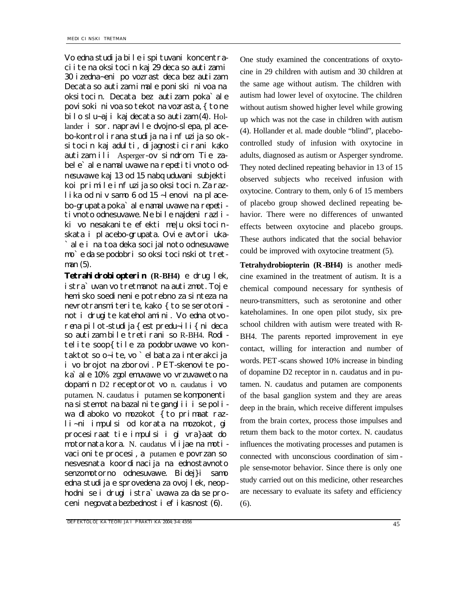Vo edna studija bile ispituvani koncentraciite na oksitocin kaj 29 deca so autizam i 30 izedna~eni po vozrast deca bez autizam. Decata so autizam imale poniski nivoa na oksitocin. Decata bez autizam poka`ale povisoki nivoa so tekot na vozrasta, { to ne bilo slu~aj i kaj decata so autizam (4). Hollander i sor. napravile dvojno-slepa, placebo-kontrolirana studija na infuzija so oksitocin kaj adulti, dijagnosticirani kako autizam ili Asperger-ov sindrom. Tie zabele'ale namaluvawe na repetitivnoto odnesuvawe kaj 13 od 15 nabquduvani subjekti koi primile infuzija so oksitocin. Za razlika od niv samo 6 od 15 ~lenovi na placebo-grupata poka`ale namaluvawe na repetitivnoto odnesuvawe. Ne bile najdeni razliki vo nesakanite efekti me|u oksitocinskata i placebo-grupata. Ovie avtori uka ale i na toa deka socijalnoto odnesuvawe mo`e da se podobri so oksitocinskiot tretman (5).

**Tetrahidrobiopterin (R-BH4)** e drug lek, istra`uvan vo tretmanot na autizmot. Toj e hemisko soedinenie potrebno za sinteza na nevrotransmiterite, kako { to se serotoni not i drugite kateholamini. Vo edna otvorena pilot-studija { est predu~ili { ni deca so autizam bile tretirani so R-BH4. Roditelite soop{tile za podobruvawe vo kontaktot so o~ite, vo `elbata za interakcija i vo brojot na zborovi. PET-skenovite poka`ale 10% zgolemuvawe vo vrzuvaweto na dopamin D2 receptorot vo n. caudatus i vo putamen. N. caudatus i putamen se komponenti na sistemot na bazalnite ganglii i se poliwa dlaboko vo mozokot { to primaat razli~ni impulsi od korata na mozokot, gi procesiraat tie impulsi i gi vra}aat do motornata kora. N. caudatus vlijae na motivacionite procesi, a putamen e povrzan so nesvesnata koordinacija na ednostavnoto senzomotorno odnesuvawe. Bidej}i samo edna studija e sprovedena za ovoj lek, neophodni se i drugi istra`uvawa za da se proceni negovata bezbednost i efikasnost (6).

One study examined the concentrations of oxytocine in 29 children with autism and 30 children at the same age without autism. The children with autism had lower level of oxytocine. The children without autism showed higher level while growing up which was not the case in children with autism (4). Hollander et al. made double "blind", placebocontrolled study of infusion with oxytocine in adults, diagnosed as autism or Asperger syndrome. They noted declined repeating behavior in 13 of 15 observed subjects who received infusion with oxytocine. Contrary to them, only 6 of 15 members of placebo group showed declined repeating behavior. There were no differences of unwanted effects between oxytocine and placebo groups. These authors indicated that the social behavior could be improved with oxytocine treatment (5).

**Tetrahydrobiopterin (R-BH4)** is another medicine examined in the treatment of autism. It is a chemical compound necessary for synthesis of neuro-transmitters, such as serotonine and other kateholamines. In one open pilot study, six preschool children with autism were treated with R-BH4. The parents reported improvement in eye contact, willing for interaction and number of words. PET-scans showed 10% increase in binding of dopamine D2 receptor in n. caudatus and in putamen. N. caudatus and putamen are components of the basal ganglion system and they are areas deep in the brain, which receive different impulses from the brain cortex, process those impulses and return them back to the motor cortex. N. caudatus influences the motivating processes and putamen is connected with unconscious coordination of sim ple sense-motor behavior. Since there is only one study carried out on this medicine, other researches are necessary to evaluate its safety and efficiency (6).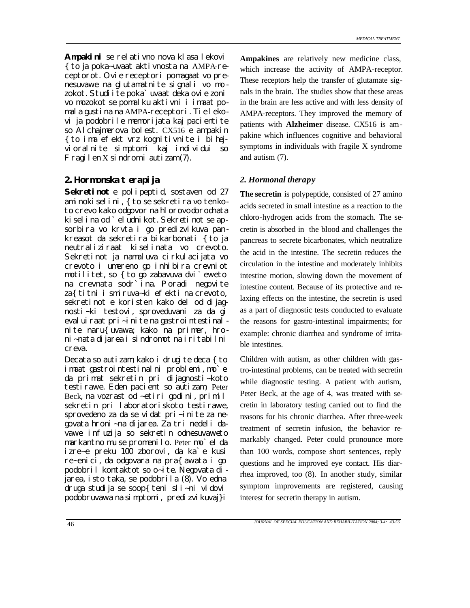**Ampakini** se relativno nova klasa lekovi {to ja poka~uvaat aktivnosta na AMPA-receptorot. Ovie receptori pomagaat vo prenesuvawe na glutamatnite signali vo mo zokot. Studiite poka`uvaat deka ovie zoni vo mozokot se pomalku aktivni i imaat pomala gustina na AMPA-receptori. Tie lekovi ja podobrile memorijata kaj pacientite so Alchajmerova bolest. CX516 e ampakin {to ima efekt vrz kognitivnite i bihejvioralnite simptomi kaj individui so Fragilen X sindrom i autizam (7).

# *2. Hormonska terapija 2. Hormonal therapy*

**Sekretinot** e polipeptid, sostaven od 27 aminokiselini, {to se sekretira vo tenkoto crevo kako odgovor na hlorovodorodnata ki sel i na od `el udni kot. Sekreti not se apsorbira vo krvta i go predizvikuva pankreasot da sekretira bikarbonati { to ja neutraliziraat kiselinata vo crevoto. Sekretinot ja namaluva cirkulacijata vo crevoto i umereno go inhibira crevniot motilitet, so {to go zabavuva dvi`eweto na crevnata sodr`ina. Poradi negovite za{titni i smiruva~ki efekti na crevoto, sekretinot e koristen kako del od dijagnosti~ki testovi, sproveduvani za da gi eval ui raat pri~inite na gastrointestinal nite naru{uvawa; kako na primer, hroni~nata dijarea i sindromot na iritabilni creva.

Decata so autizam, kako i drugite deca {to imaat gastrointestinalni problemi, mo`e da primat sekretin pri dijagnosti~koto testirawe. Eden pacient so autizam, Peter Beck, na vozrast od ~etiri godini, primil sekretin pri laboratoriskoto testirawe, sprovedeno za da se vidat pri~inite za negovata hroni~na dijarea. Za tri nedeli davawe infuzija so sekretin odnesuvaweto markantno mu se promenilo. Peter mo`el da izre~e preku 100 zborovi, da ka`e kusi re~enici, da odgovara na pra{awata i go podobril kontaktot so o~ite. Negovata dijarea, isto taka, se podobrila (8). Vo edna druga studija se soop{teni sli~ni vidovi podobruvawa na simptomi, predizvikuvaj}i

**Ampakines** are relatively new medicine class, which increase the activity of AMPA-receptor. These receptors help the transfer of glutamate signals in the brain. The studies show that these areas in the brain are less active and with less density of AMPA-receptors. They improved the memory of patients with **Alzheimer** disease. CX516 is ampakine which influences cognitive and behavioral symptoms in individuals with fragile X syndrome and autism (7).

**The secretin** is polypeptide, consisted of 27 amino acids secreted in small intestine as a reaction to the chloro-hydrogen acids from the stomach. The secretin is absorbed in the blood and challenges the pancreas to secrete bicarbonates, which neutralize the acid in the intestine. The secretin reduces the circulation in the intestine and moderately inhibits intestine motion, slowing down the movement of intestine content. Because of its protective and relaxing effects on the intestine, the secretin is used as a part of diagnostic tests conducted to evaluate the reasons for gastro-intestinal impairments; for example: chronic diarrhea and syndrome of irritable intestines.

Children with autism, as other children with gastro-intestinal problems, can be treated with secretin while diagnostic testing. A patient with autism, Peter Beck, at the age of 4, was treated with secretin in laboratory testing carried out to find the reasons for his chronic diarrhea. After three-week treatment of secretin infusion, the behavior remarkably changed. Peter could pronounce more than 100 words, compose short sentences, reply questions and he improved eye contact. His diarrhea improved, too (8). In another study, similar symptom improvements are registered, causing interest for secretin therapy in autism.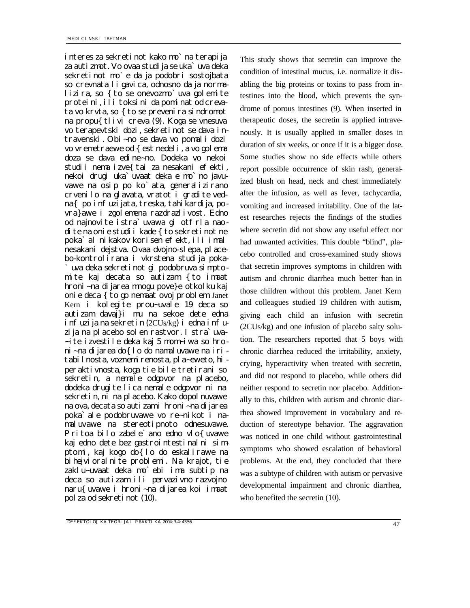interes za sekretinot kako mo`na terapija za autizmot. Vo ovaa studija se uka`uva deka sekretinot mo`e da ja podobri sostojbata so crevnata ligavica, odnosno da ja normalizira, so { to se onevozmo`uva golemite proteini, ili toksini da pominat od crevata vo krvta, so { to se prevenira sindromot na propu{tlivi creva (9). Koga se vnesuva vo terapevtski dozi, sekretinot se dava intravenski. Obi~no se dava vo pomali dozi vo vremetraewe od { est nedeli, a vo golema doza se dava edine~no. Dodeka vo nekoi studii nema izve{ tai za nesakani efekti, nekoi drugi uka`uvaat deka e mo`no javuvawe na osip po ko`ata, generalizirano crvenilo na glavata, vratot i gradite vedna{ po infuzijata, treska, tahikardija, povra}awe i zgolemena razdrazlivost. Edno od najnovite istra`uvawa gi otfrla naodite na onie studii kade {to sekretinot ne poka`al nikakov korisen efekt, ili imal nesakani dejstva. Ovaa dvojno-slepa, placebo-kontrolirana i vkrstena studija poka- `uva deka sekretinot gi podobruva simptomite kaj decata so autizam {to imaat hroni~na dijarea mnogu pove}e otkolku kaj onie deca {to go nemaat ovoj problem. Janet Kern i kolegite prou~uvale 19 deca so autizam davaj}i mu na sekoe dete edna infuzija na sekretin (2CUs/kg) i edna infuzija na placebo solen rastvor. I stra`uva-~ite izvestile deka kaj 5 mom~iwa so hroni~na dijarea do{lo do namaluvawe na iritabilnosta, voznemi renosta, pla~eweto, hiperaktivnosta, koga tie bile tretirani so sekretin, a nemale odgovor na placebo, dodeka drugite lica nemale odgovor ni na sekretin, ni na placebo. Kako dopolnuvawe na ova, decata so autizam i hroni~na dijarea poka`ale podobruvawe vo re~nikot i namaluvawe na stereotipnoto odnesuvawe. Pritoa bilo zabele'ano edno vlo{uvawe kaj edno dete bez gastrointestinalni simptomi, kaj kogo do{lo do eskalirawe na bihejvioralnite problemi. Na krajot, tie zaklu~uvaat deka mo`ebi ima subtip na deca so autizam ili pervazivno razvojno naru{uvawe i hroni~na dijarea koi imaat polza od sekretinot (10).

This study shows that secretin can improve the condition of intestinal mucus, i.e. normalize it disabling the big proteins or toxins to pass from intestines into the blood, which prevents the syndrome of porous intestines (9). When inserted in therapeutic doses, the secretin is applied intravenously. It is usually applied in smaller doses in duration of six weeks, or once if it is a bigger dose. Some studies show no side effects while others report possible occurrence of skin rash, generalized blush on head, neck and chest immediately after the infusion, as well as fever, tachycardia, vomiting and increased irritability. One of the latest researches rejects the findings of the studies where secretin did not show any useful effect nor had unwanted activities. This double "blind", placebo controlled and cross-examined study shows that secretin improves symptoms in children with autism and chronic diarrhea much better than in those children without this problem. Janet Kern and colleagues studied 19 children with autism, giving each child an infusion with secretin (2CUs/kg) and one infusion of placebo salty solution. The researchers reported that 5 boys with chronic diarrhea reduced the irritability, anxiety, crying, hyperactivity when treated with secretin, and did not respond to placebo, while others did neither respond to secretin nor placebo. Additionally to this, children with autism and chronic diarrhea showed improvement in vocabulary and reduction of stereotype behavior. The aggravation was noticed in one child without gastrointestinal symptoms who showed escalation of behavioral problems. At the end, they concluded that there was a subtype of children with autism or pervasive developmental impairment and chronic diarrhea, who benefited the secretin (10).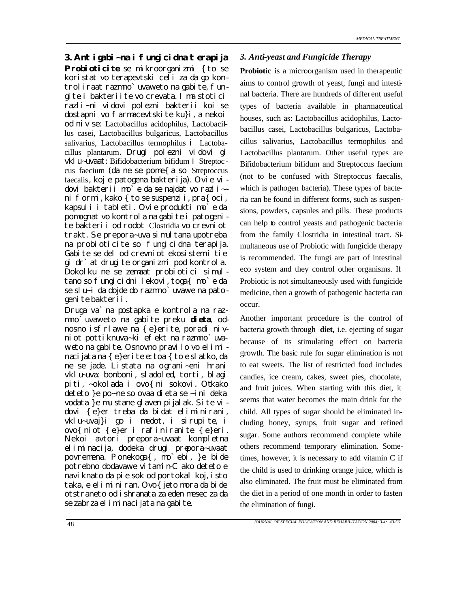### *3. Antigabi~na i fungicidna terapija 3. Anti-yeast and Fungicide Therapy*

**Probioticite** se mikroorganizmi { to se koristat vo terapevtski celi za da go kontroliraat razmno`uvaweto na gabite, fungite i bakteriite vo crevata. Ima stotici razli~ni vidovi polezni bakterii koi se dostapni vo farmacevtskite ku}i, a nekoi od niv se: Lactobacillus acidophilus, Lactobacillus casei, Lactobacillus bulgaricus, Lactobacillus salivarius, Lactobacillus termophilus i Lactobacillus plantarum. Drugi polezni vidovi gi vklu~uvaat: Bifidobacterium bifidum i Streptoc cus faecium (da ne se pome{a so Streptoccus faecalis, koj e patogena bakterija). Ovie vidovi bakterii mo`e da se najdat vo razli~ ni formi, kako { to se suspenzii, pra{oci, kapsuli i tableti. Ovie produkti mo`e da pomognat vo kontrola na gabite i patogenite bakterii od rodot Clostridia vo crevniot trakt. Se prepora~uva simultana upotreba na probioticite so fungicidna terapija. Gabite se del od crevniot ekosistem i tie gi dr`at drugite organizmi pod kontrola. Dokolku ne se zemaat probiotici simultano so fungicidni lekovi, toga{ mo`e da se slu~i da dojde do razmno`uvawe na patogenite bakterii.

Druga va`na postapka e kontrola na razmno`uvaweto na gabite preku **dieta**, odnosno isfrlawe na {e}erite, poradi nivniot pottiknuva~ki efekt na razmno`uvaweto na gabite. Osnovno pravilo vo elimi nacijata na {e}erite e: toa { to e sl atko, da ne se jade. Listata na ograni~eni hrani vklu~uva: bonboni, sladoled, torti, blagi piti, ~okolada i ovo{ni sokovi. Otkako deteto }e po~ne so ovaa dieta se ~ini deka vodata }e mu stane glaven pijalak. Site vidovi {e}er treba da bidat eliminirani, vklu~uvaj}i go i medot, i sirupite, i ovo{niot {e}er i rafiniranite {e}eri. Nekoi avtori prepora~uvaat kompletna eliminacija, dodeka drugi prepora~uvaat povremena. Ponekoga{, mo`ebi, }e bide potrebno dodavawe vitamin-C ako deteto e naviknato da pie sok od portokal koj, isto taka, e eliminiran. Ovo{jeto mora da bide otstraneto od ishranata za eden mesec za da se zabrza eliminacijata na gabite.

**Probiotic** is a microorganism used in therapeutic aims to control growth of yeast, fungi and intestinal bacteria. There are hundreds of differ ent useful types of bacteria available in pharmaceutical houses, such as: Lactobacillus acidophilus, Lactobacillus casei, Lactobacillus bulgaricus, Lactobacillus salivarius, Lactobacillus termophilus and Lactobacillus plantarum. Other useful types are Bifidobacterium bifidum and Streptoccus faecium (not to be confused with Streptoccus faecalis, which is pathogen bacteria). These types of bacteria can be found in different forms, such as suspensions, powders, capsules and pills. These products can help to control yeasts and pathogenic bacteria from the family Clostridia in intestinal tract. Simultaneous use of Probiotic with fungicide therapy is recommended. The fungi are part of intestinal eco system and they control other organisms. If Probiotic is not simultaneously used with fungicide medicine, then a growth of pathogenic bacteria can occur.

Another important procedure is the control of bacteria growth through **diet,** i.e. ejecting of sugar because of its stimulating effect on bacteria growth. The basic rule for sugar elimination is not to eat sweets. The list of restricted food includes candies, ice cream, cakes, sweet pies, chocolate, and fruit juices. When starting with this diet, it seems that water becomes the main drink for the child. All types of sugar should be eliminated including honey, syrups, fruit sugar and refined sugar. Some authors recommend complete while others recommend temporary elimination. Sometimes, however, it is necessary to add vitamin C if the child is used to drinking orange juice, which is also eliminated. The fruit must be eliminated from the diet in a period of one month in order to fasten the elimination of fungi.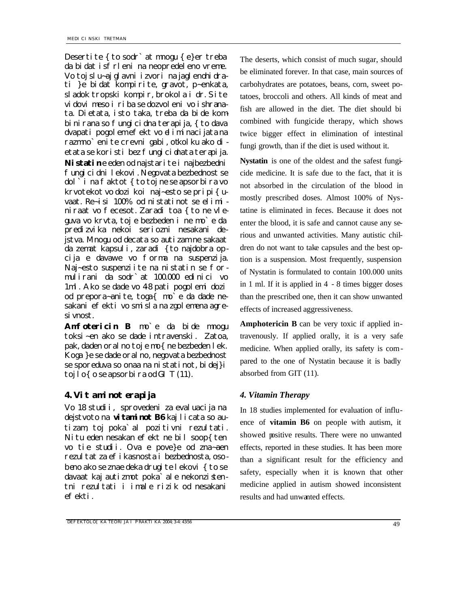Desertite { to sodr' at mnogu { e}er treba da bidat isfrleni na neopredeleno vreme. Vo toj slu~aj glavni izvori na jaglenohidrati }e bidat kompirite, gravot, p~enkata, sladok tropski kompir, brokola i dr. Site vidovi meso i riba se dozvoleni vo ishranata. Dietata, isto taka, treba da bide kombinirana so fungicidna terapija, { to dava dvapati pogolem efekt vo eliminacijata na razmno`enite crevni gabi, otkolku ako dietata se koristi bez fungici dnata terapija. Nistatine eden od najstarite i najbezbedni fungicidni lekovi. Negovata bezbednost se dol ` i na f aktot { to toj ne se apsorbira vo krvotekot vo dozi koi naj~esto se pripi{uvaat. Re~isi 100% od nistatinot se elimi niraat vo fecesot. Zaradi toa { to ne vleguva vo krvta, toj e bezbeden i ne mo`e da predizvika nekoi seriozni nesakani dejstva. Mnogu od decata so autizam ne sakaat da zemat kapsuli, zaradi {to najdobra opcija e davawe vo forma na suspenzija. Naj~esto suspenziite na nistatin se formulirani da sodr`at 100.000 edinici vo 1ml. Ako se dade vo 48 pati pogolemi dozi od prepora~anite, toga{ mo`e da dade nesakani efekti vo smisla na zgolemena agresivnost.

**Amfotericin B** mo`e da bide mnogu toksi~en ako se dade intravenski. Zatoa, pak, daden oralno toj e mo{ne bezbeden lek. Koga }e se dade oralno, negovata bezbednost se sporeduva so onaa na nistatinot, bidej}i toj lo $\{o\}$ se apsorbira od GIT (11).

## *4. Vitaminoterapija 4. Vitamin Therapy*

Vo 18 studii, sprovedeni za evaluacija na dejstvoto na **vitaminot B6** kaj licata so autizam, toj poka`al pozitivni rezultati. Nitu eden nesakan efekt ne bil soop{ten vo tie studii. Ova e pove}e od zna~aen rezultat za efikasnosta i bezbednosta, osobeno ako se znae deka drugite lekovi { to se davaat kaj autizmot poka`ale nekonzistentni rezultati i imale rizik od nesakani efekti.

The deserts, which consist of much sugar, should be eliminated forever. In that case, main sources of carbohydrates are potatoes, beans, corn, sweet potatoes, broccoli and others. All kinds of meat and fish are allowed in the diet. The diet should bi combined with fungicide therapy, which shows twice bigger effect in elimination of intestinal fungi growth, than if the diet is used without it.

**Nystatin** is one of the oldest and the safest fungicide medicine. It is safe due to the fact, that it is not absorbed in the circulation of the blood in mostly prescribed doses. Almost 100% of Nystatine is eliminated in feces. Because it does not enter the blood, it is safe and cannot cause any serious and unwanted activities. Many autistic children do not want to take capsules and the best option is a suspension. Most frequently, suspension of Nystatin is formulated to contain 100.000 units in 1 ml. If it is applied in 4 - 8 times bigger doses than the prescribed one, then it can show unwanted effects of increased aggressiveness.

**Amphotericin B** can be very toxic if applied intravenously. If applied orally, it is a very safe medicine. When applied orally, its safety is compared to the one of Nystatin because it is badly absorbed from GIT (11).

In 18 studies implemented for evaluation of influence of **vitamin B6** on people with autism, it showed positive results. There were no unwanted effects, reported in these studies. It has been more than a significant result for the efficiency and safety, especially when it is known that other medicine applied in autism showed inconsistent results and had unwanted effects.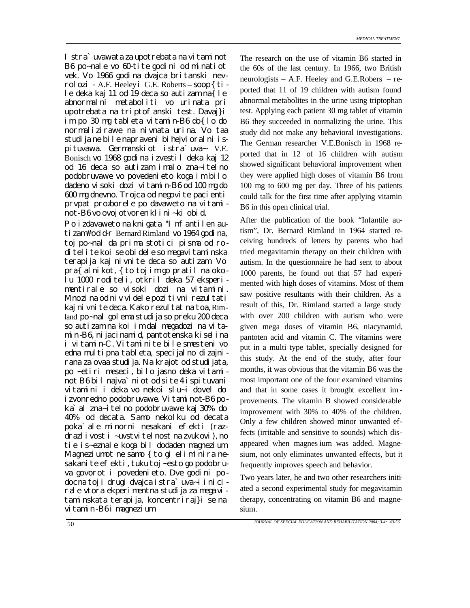I stra`uvawata za upotrebata na vitaminot B6 po~nale vo 60-tite godini od minatiot vek. Vo 1966 godina dvajca britanski nevrol ozi - A.F. Heeley i G.E. Roberts – soop {  $ti$  le deka kaj 11 od 19 deca so autizam na{le abnormalni metaboliti vo urinata pri upotrebata na triptof anski test. Davaj}i im po 30 mg tableta vitamin-B6 do{lo do normalizirawe na nivnata urina. Vo taa studija ne bile napraveni bihejvioralni ispituvawa. Germanskiot istra`uva~ V.E. Bonisch vo 1968 godina izvestil deka kaj 12 od 16 deca so autizam imalo zna~itelno podobruvawe vo povedenieto koga im bilo dadeno visoki dozi vitamin-B6 od 100 mg do 600 mg dnevno. Trojca od negovite pacienti prvpat prozborele po davaweto na vitaminot-B6 vo ovoj otvoren klini~ki obid.

Po izdavaweto na knigata "Infantilen autizam# od d-r Bernard Rimland vo 1964 godina, toj po~nal da prima stotici pisma od roditelite koi se obidele so megavitaminska terapija kaj nivnite deca so autizam. Vo pra{alnikot, {to toj im go pratil na okolu 1000 roditeli, otkril deka 57 eksperimentirale so visoki dozi na vitamini. Mnozina od niv videle pozitivni rezultati kaj ni vni te deca. Kako rezul tat na toa, Rimland po~nal golema studija so preku 200 deca so autizam na koi im dal megadozi na vitamin-B6, nijacinamid, pantotenska kiselina i vitamin-C. Vitaminite bile smesteni vo edna multipna tableta, specijalno dizajnirana za ovaa studija. Na krajot od studijata, po ~etiri meseci, bilo jasno deka vitaminot B6 bil najva`niot od site 4 ispituvani vitamini i deka vo nekoi slu~i dovel do izvonredno podobruvawe. Vitaminot-B6 poka`al zna~itelno podobruvawe kaj 30% do 40% od decata. Samo nekolku od decata poka`ale minorni nesakani efekti (razdrazlivost i ~uvstvitelnost na zvukovi), no tie is~eznale koga bil dodaden magnezium. Magneziumot ne samo { to gi eliminira nesakanite efekti, tuku toj ~esto go podobruva govorot i povedenieto. Dve godini po docna toj i drugi dvajca istra`uva~i inicirale vtora ekperimentna studija za mega vitaminskata terapija, koncentriraj}i se na vitamin-B6 i magnezium.

The research on the use of vitamin B6 started in the 60s of the last century. In 1966, two British neurologists – A.F. Heeley and G.E.Robers – reported that 11 of 19 children with autism found abnormal metabolites in the urine using triptophan test. Applying each patient 30 mg tablet of vitamin B6 they succeeded in normalizing the urine. This study did not make any behavioral investigations. The German researcher V.E.Bonisch in 1968 reported that in 12 of 16 children with autism showed significant behavioral improvement when they were applied high doses of vitamin B6 from 100 mg to 600 mg per day. Three of his patients could talk for the first time after applying vitamin B6 in this open clinical trial.

After the publication of the book "Infantile autism", Dr. Bernard Rimland in 1964 started receiving hundreds of letters by parents who had tried megavitamin therapy on their children with autism. In the questionnaire he had sent to about 1000 parents, he found out that 57 had experimented with high doses of vitamins. Most of them saw positive resultants with their children. As a result of this, Dr. Rimland started a large study with over 200 children with autism who were given mega doses of vitamin B6, niacynamid, pantoten acid and vitamin C. The vitamins were put in a multi type tablet, specially designed for this study. At the end of the study, after four months, it was obvious that the vitamin B6 was the most important one of the four examined vitamins and that in some cases it brought excellent im provements. The vitamin B showed considerable improvement with 30% to 40% of the children. Only a few children showed minor unwanted effects (irritable and sensitive to sounds) which disappeared when magnes ium was added. Magnesium, not only eliminates unwanted effects, but it frequently improves speech and behavior.

Two years later, he and two other researchers initiated a second experimental study for megavitamin therapy, concentrating on vitamin B6 and magnesium.

*JOURNAL OF SPECIAL EDUCATION AND REHABILITATION 2004; 3-4: 43-56*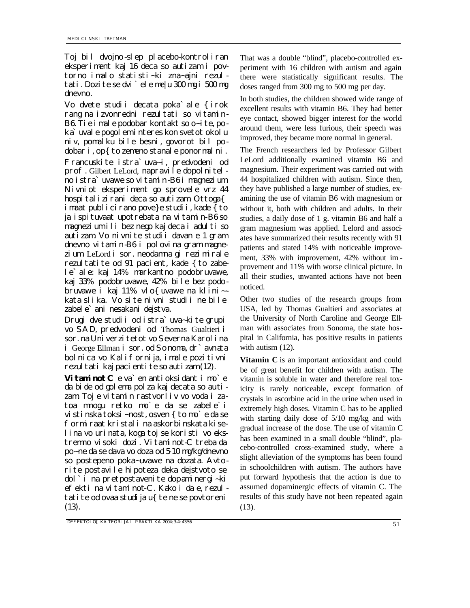Toj bil dvojno-slep placebo-kontroliran eksperiment kaj 16 deca so autizam i povtorno imalo statisti~ki zna~ajni rezultati. Dozite se dvi`ele me|u 300 mg i 500 mg dnevno.

Vo dvete studii decata poka`ale {irok rang na izvonredni rezultati so vitamin-B6. Tie imale podobar kontakt so o~ite, poka`uvale pogolem interes kon svetot okolu niv, pomalku bile besni, govorot bil podobar i, op{ to zemeno stanal e ponormal ni. Francuskite istra`uva~i, predvodeni od prof. Gilbert LeLord, napravile dopolnitelno istra`uvawe so vitamin-B6 i magnezium. Nivniot eksperiment go sprovele vrz 44 hospitalizirani deca so autizam. Ottoga{ imaat publicirano pove}e studii, kade { to ja ispituvaat upotrebata na vitamin-B6 so magnezium ili bez nego kaj deca i adulti so autizam. Vo nivnite studii davan e 1 gram dnevno vitamin-B6 i polovina gram magnezium. LeLord i sor. neodamna gi rezimirale rezultatite od 91 pacient, kade {to zabele`ale: kaj 14% markantno podobruvawe, kaj 33% podobruvawe, 42% bile bez podobruvawe i kaj 11% vlo{uvawe na klini~ kata slika. Vo site nivni studii ne bile zabele`ani nesakani dejstva.

Drugi dve studii od istra`uva~kite grupi vo SAD, predvodeni od Thomas Gualtieri i sor. na Univerzi tetot vo Severna Karolina i George Ellman i sor. od Sonoma, dr`avnata bolnica vo Kalifornija, imale pozitivni rezultati kaj pacientite so autizam (12).

Vitaminot C e va`en antioksidant i mo`e da bide od golema polza kaj decata so au tizam. Toj e vitamin rastvorliv vo voda i zatoa mnogu retko mo`e da se zabele`i vistinska toksi~nost, osven {to mo`e da se formiraat kristali na askorbinskata kiselina vo urinata, koga toj se koristi vo ekstremno visoki dozi. Vitaminot-C treba da po~ne da se dava vo doza od 5-10 mg/kg/dnevno so postepeno poka~uvawe na dozata. Avtorite postavile hipoteza deka dejstvoto se dol`i na pretpostavenite dopaminergi~ki efekti na vitaminot-C. Kako i da e, rezultatite od ovaa studija u{te ne se povtoreni (13).

That was a double "blind", placebo-controlled experiment with 16 children with autism and again there were statistically significant results. The doses ranged from 300 mg to 500 mg per day.

In both studies, the children showed wide range of excellent results with vitamin B6. They had better eye contact, showed bigger interest for the world around them, were less furious, their speech was improved, they became more normal in general.

The French researchers led by Professor Gilbert LeLord additionally examined vitamin B6 and magnesium. Their experiment was carried out with 44 hospitalized children with autism. Since then, they have published a large number of studies, examining the use of vitamin B6 with magnesium or without it, both with children and adults. In their studies, a daily dose of 1 g. vitamin B6 and half a gram magnesium was applied. Lelord and associates have summarized their results recently with 91 patients and stated 14% with noticeable improvement, 33% with improvement, 42% without im provement and 11% with worse clinical picture. In all their studies, unwanted actions have not been noticed.

Other two studies of the research groups from USA, led by Thomas Gualtieri and associates at the University of North Caroline and George Ellman with associates from Sonoma, the state hospital in California, has positive results in patients with autism  $(12)$ .

**Vitamin C** is an important antioxidant and could be of great benefit for children with autism. The vitamin is soluble in water and therefore real toxicity is rarely noticeable, except formation of crystals in ascorbine acid in the urine when used in extremely high doses. Vitamin C has to be applied with starting daily dose of 5/10 mg/kg and with gradual increase of the dose. The use of vitamin C has been examined in a small double "blind", placebo-controlled cross-examined study, where a slight alleviation of the symptoms has been found in schoolchildren with autism. The authors have put forward hypothesis that the action is due to assumed dopaminergic effects of vitamin C. The results of this study have not been repeated again (13).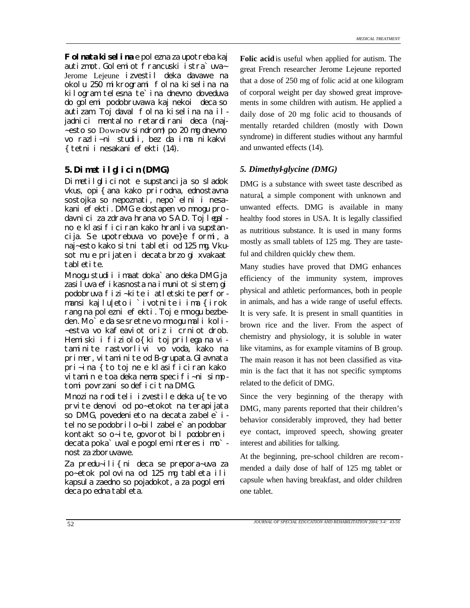**Folnata kiselina** e polezna za upotreba kaj autizmot. Golemiot francuski istra`uva~ Jerome Lejeune izvestil deka davawe na okolu 250 mikrogrami folna kiselina na kilogram telesna te'ina dnevno doveduva do golemi podobruvawa kaj nekoi deca so autizam. Toj daval folna kiselina na iljadnici mentalno retardirani deca (naj-~esto so Down-ov sindrom) po 20 mg dnevno vo razli~ni studii, bez da ima nikakvi {tetni i nesakani efekti (14).

## *5. Dimetilglicin (DMG) 5. Dimethyl-glycine (DMG)*

Dimetilglicinot e supstancija so sladok vkus, opi{ana kako prirodna, ednostavna sostojka so nepoznati, nepo`elni i nesakani efekti. DMG e dostapen vo mnogu prodavnici za zdrava hrana vo SAD. Toj legalno e klasificiran kako hranliva supstancija. Se upotrebuva vo pove}e formi, a naj~esto kako sitni tableti od 125 mg. Vkusot mu e prijaten i decata brzo gi xvakaat tabletite.

Mnogu studii imaat doka`ano deka DMG ja zasiluva efikasnosta na imuniot sistem, gi podobruva fizi~kite i atletskite performansi kaj lu|eto i `ivotnite i ima {irok rang na polezni efekti. Toj e mnogu bezbeden. Mo`e da se sretne vo mnogu mali koli- ~estva vo kafeaviot oriz i crniot drob. Hemiski i fiziolo{ki toj prilega na vi taminite rastvorlivi vo voda, kako na primer, vitaminite od B-grupata. Glavnata pri~ina {to toj ne e klasificiran kako vitamin e toa deka nema specifi~ni simp tomi povrzani so deficit na DMG.

Mnozina roditeli izvestile deka u{te vo prvite denovi od po~etokot na terapijata so DMG, povedenieto na decata zabele`itelno se podobrilo−bil zabele`an podobar kontakt so o~ite, govorot bil podobren i decata poka`uvale pogolem interes i mo` nost za zboruvawe.

Za predu~ili{ni deca se prepora~uva za po~etok polovina od 125 mg tableta ili kapsula zaedno so pojadokot, a za pogolemi deca po edna tableta.

**Folic acid** is useful when applied for autism. The great French researcher Jerome Lejeune reported that a dose of 250 mg of folic acid at one kilogram of corporal weight per day showed great improvements in some children with autism. He applied a daily dose of 20 mg folic acid to thousands of mentally retarded children (mostly with Down syndrome) in different studies without any harmful and unwanted effects (14).

DMG is a substance with sweet taste described as natural, a simple component with unknown and unwanted effects. DMG is available in many healthy food stores in USA. It is legally classified as nutritious substance. It is used in many forms mostly as small tablets of 125 mg. They are tasteful and children quickly chew them.

Many studies have proved that DMG enhances efficiency of the immunity system, improves physical and athletic performances, both in people in animals, and has a wide range of useful effects. It is very safe. It is present in small quantities in brown rice and the liver. From the aspect of chemistry and physiology, it is soluble in water like vitamins, as for example vitamins of B group. The main reason it has not been classified as vitamin is the fact that it has not specific symptoms related to the deficit of DMG.

Since the very beginning of the therapy with DMG, many parents reported that their children's behavior considerably improved, they had better eye contact, improved speech, showing greater interest and abilities for talking.

At the beginning, pre-school children are recommended a daily dose of half of 125 mg tablet or capsule when having breakfast, and older children one tablet.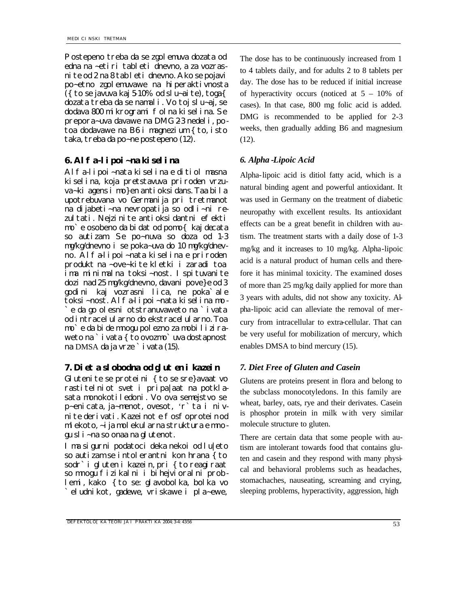Postepeno treba da se zgolemuva dozata od edna na ~etiri tableti dnevno, a za vozrasnite od 2 na 8 tableti dnevno. Ako se pojavi po~etno zgolemuvawe na hiperaktivnosta ({ to se javuva kaj  $5-10\%$  od slu~aite), toga{ dozata treba da se namali. Vo toj slu~aj, se dodava 800 mikrogrami folna kiselina. Se prepora~uva davawe na DMG 2-3 nedeli, potoa dodavawe na B6 i magnezium { to, isto taka, treba da po~ne postepeno (12).

## *6. Alfa-lipoi~na kiselina 6. Alpha -Lipoic Acid*

Alfa-lipoi~nata kiselina e ditiol masna kiselina, koja pretstavuva priroden vrzuva~ki agens i mo}en antioksidans. Taa bila upotrebuvana vo Germanija pri tretmanot na dijabeti~na nevropatija so odli~ni rezultati. Nejzinite antioksi dantni efekti mo`e osobeno da bidat od pomo{ kaj decata so autizam. Se po~nuva so doza od 1-3 mg/kg/dnevno i se poka~uva do 10 mg/kg/dnevno. Alfa-lipoi~nata kiselina e priroden produkt na ~ove~kite kletki i zaradi toa ima minimalna toksi~nost. Ispituvanite dozi nad 25 mg/kg/dnevno, davani pove}e od 3 godini kaj vozrasni lica, ne poka`ale toksi~nost. Alfa-lipoi~nata kiselina mo - `e da go olesni otstranuvaweto na `ivata od intracelularno do ekstracelularno. Toa mo`e da bide mnogu polezno za mobiliziraweto na `ivata { to ovozmo`uva dostapnost na DMSA da ja vrze `i vata (15).

# *7. Dieta slobodna od gluten i kazein 7. Diet Free of Gluten and Casein*

Glutenite se proteini { to se sre}avaat vo rastitelniot svet i pripa|aat na potklasata monokotiledoni. Vo ova semejstvo se p~enicata, ja~menot, ovesot, 'r`ta i nivnite derivati. Kazeinot e fosfoprotein od mlekoto, ~ija molekularna struktura e mnogu sli~na so onaa na glutenot.

Ima sigurni podatoci deka nekoi od lu|eto so autizam se intolerantni kon hrana { to sodr`i gluten i kazein, pri { to reagiraat so mnogu fizikalni i bihejvioralni problemi, kako {to se: glavobolka, bolka vo `eludnikot, gadewe, vriskawe i pla~ewe,

The dose has to be continuously increased from 1 to 4 tablets daily, and for adults 2 to 8 tablets per day. The dose has to be reduced if initial increase of hyperactivity occurs (noticed at  $5 - 10\%$  of cases). In that case, 800 mg folic acid is added. DMG is recommended to be applied for 2-3 weeks, then gradually adding B6 and magnesium (12).

Alpha-lipoic acid is ditiol fatty acid, which is a natural binding agent and powerful antioxidant. It was used in Germany on the treatment of diabetic neuropathy with excellent results. Its antioxidant effects can be a great benefit in children with autism. The treatment starts with a daily dose of 1-3 mg/kg and it increases to 10 mg/kg. Alpha-lipoic acid is a natural product of human cells and therefore it has minimal toxicity. The examined doses of more than 25 mg/kg daily applied for more than 3 years with adults, did not show any toxicity. Alpha-lipoic acid can alleviate the removal of mercury from intracellular to extra-cellular. That can be very useful for mobilization of mercury, which enables DMSA to bind mercury (15).

Glutens are proteins present in flora and belong to the subclass monocotyledons. In this family are wheat, barley, oats, rye and their derivates. Casein is phosphor protein in milk with very similar molecule structure to gluten.

There are certain data that some people with autism are intolerant towards food that contains gluten and casein and they respond with many physical and behavioral problems such as headaches, stomachaches, nauseating, screaming and crying, sleeping problems, hyperactivity, aggression, high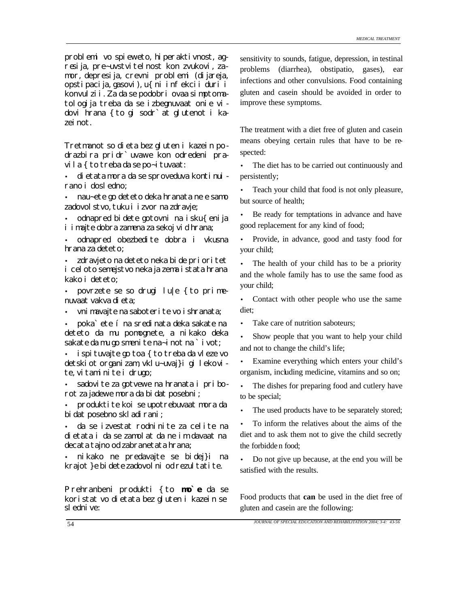problemi vo spieweto, hiperaktivnost, agresija, pre~uvstvitelnost kon zvukovi, zamor, depresija, crevni problemi (dijareja, opstipacija, gasovi), u{ni infekcii duri i konvulzii. Za da se podobri ovaa simptomatologija treba da se izbegnuvaat onie vidovi hrana {to gi sodr`at glutenot i kazeinot.

Tretmanot so dieta bez gluten i kazein podrazbira pridr`uvawe kon odredeni pravila { to treba da se po~i tuvaat:

• dietata mora da se sproveduva kontinui rano i dosledno;

• nau~ete go deteto deka hranata ne e samo zadovolstvo, tuku i izvor na zdravje;

• odnapred bidete gotovni na isku{enija i imajte dobra zamena za sekoj vid hrana;

• odnapred obezbedite dobra i vkusna hrana za deteto;

• zdravjeto na deteto neka bi de prioritet i celoto semejstvo neka ja zema istata hrana kako i deteto;

• povrzete se so drugi lu $|e \rangle$  to primenuvaat vakva dieta;

vni mavajte na saboteri te vo i shranata;

• poka`ete í na sredinata deka sakate na deteto da mu pomognete, a nikako deka sakate da mu go smenite na~inot na `ivot;

• ispituvajte go toa { to treba da vleze vo detskiot organizam, vklu~uvaj}i gi lekovite, vitaminite i drugo;

• sadovite za gotvewe na hranata i priborot za jadewe mora da bidat posebni;

• produktite koi se upotrebuvaat mora da bidat posebno skladirani;

• da se izvestat rodninite za celite na dietata i da se zamolat da ne im davaat na decata tajno od zabranetata hrana;

• nikako ne predavajte se bidej}i na krajot } e bi dete zadovol ni od rezul tati te.

Prehranbeni produkti {to **mo`e** da se koristat vo dietata bez gluten i kazein se slednive:

sensitivity to sounds, fatigue, depression, in testinal problems (diarrhea), obstipatio, gases), ear infections and other convulsions. Food containing gluten and casein should be avoided in order to improve these symptoms.

The treatment with a diet free of gluten and casein means obeying certain rules that have to be respected:

The diet has to be carried out continuously and persistently;

Teach your child that food is not only pleasure, but source of health;

Be ready for temptations in advance and have good replacement for any kind of food;

• Provide, in advance, good and tasty food for your child;

• The health of your child has to be a priority and the whole family has to use the same food as your child;

Contact with other people who use the same diet;

Take care of nutrition saboteurs:

• Show people that you want to help your child and not to change the child's life;

• Examine everything which enters your child's organism, including medicine, vitamins and so on;

The dishes for preparing food and cutlery have to be special;

• The used products have to be separately stored;

• To inform the relatives about the aims of the diet and to ask them not to give the child secretly the forbidden food;

• Do not give up because, at the end you will be satisfied with the results.

Food products that **can** be used in the diet free of gluten and casein are the following: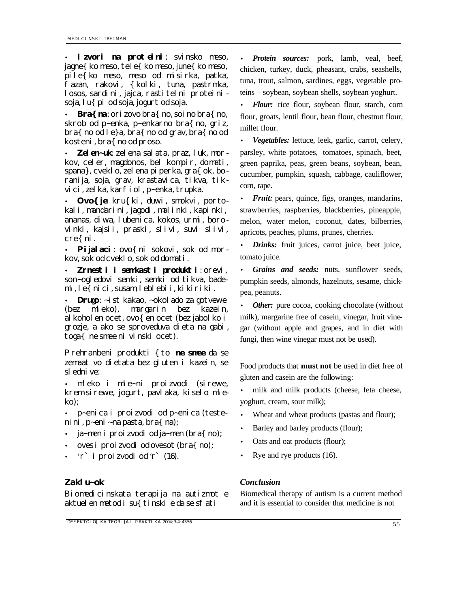• **Izvori na proteini**: svinsko meso, jagne{ko meso, tele{ko meso, june{ko meso, pile{ko meso, meso od misirka, patka, fazan, rakovi, {kolki, tuna, pastrmka, losos, sardini, jajca, rastitelni proteinisoja, lu{pi od soja, jogurt od soja.

• **Bra{na**: orizovo bra{no, soi no bra{no, skrob od p~enka, p~enkarno bra{no, griz, bra{no od le}a, bra{no od grav, bra{no od kosteni, bra{ no od proso.

• *Zelen~uk*: zelena salata, praz, luk, morkov, celer, magdonos, bel kompir, domati, spana}, cveklo, zelena piperka, gra{ok, boranija, soja, grav, krastavica, tikva, tikvici, zelka, karfiol, p~enka, trupka.

• *Ovo{je*: kru{ki, duwi, smokvi, portokali, mandarini, jagodi, malinki, kapinki, ananas, diwa, lubenica, kokos, urmi, borovinki, kajsii, praski, slivi, suvi slivi, cre{ni.

Pijalaci: ovo{ ni sokovi, sok od morkov, sok od cveklo, sok od domati.

• *Zrnesti i semkasti produkti*: orevi, son~ogledovi semki, semki od tikva, bademi, le{nici, susam, leblebii, kikiriki.

**Drugo:** ~ist kakao, ~okol ado za gotvewe (bez mleko), margarin bez kazein, alkoholen ocet, ovo{en ocet (bez jabolko i grozje, a ako se sproveduva dieta na gabi, toga{ ne smee ni vinski ocet).

Prehranbeni produkti {to **ne smee** da se zemaat vo dietata bez gluten i kazein, se slednive:

• mleko i mle~ni proizvodi (sirewe, krem-sirewe, jogurt, pavlaka, kiselo mleko);

• p~enica i proizvodi od p~enica (testenini, p~eni~na pasta, bra{na);

- ja~men i proizvodi od ja~men (bra{no);
- oves i proizvodi od ovesot (bra{no);
- 'r` i proizvodi od 'r` (16).

# *Zaklu~ok Conclusion*

Biomedicinskata terapija na autizmot e aktuel en metod i su{tinski e da se sfati

**DEFEKTOLO[KA TEORIJA I PRAKTIKA 2004; 3-4: 4356** 555

• *Protein sources:* pork, lamb, veal, beef, chicken, turkey, duck, pheasant, crabs, seashells, tuna, trout, salmon, sardines, eggs, vegetable proteins – soybean, soybean shells, soybean yoghurt.

• *Flour:* rice flour, soybean flour, starch, corn flour, groats, lentil flour, bean flour, chestnut flour, millet flour.

• *Vegetables:* lettuce, leek, garlic, carrot, celery, parsley, white potatoes, tomatoes, spinach, beet, green paprika, peas, green beans, soybean, bean, cucumber, pumpkin, squash, cabbage, cauliflower, corn, rape.

*Fruit:* pears, quince, figs, oranges, mandarins, strawberries, raspberries, blackberries, pineapple, melon, water melon, coconut, dates, bilberries, apricots, peaches, plums, prunes, cherries.

• *Drinks:* fruit juices, carrot juice, beet juice, tomato juice.

• *Grains and seeds:* nuts, sunflower seeds, pumpkin seeds, almonds, hazelnuts, sesame, chickpea, peanuts.

*Other:* pure cocoa, cooking chocolate (without) milk), margarine free of casein, vinegar, fruit vinegar (without apple and grapes, and in diet with fungi, then wine vinegar must not be used).

Food products that **must not** be used in diet free of gluten and casein are the following:

• milk and milk products (cheese, feta cheese, yoghurt, cream, sour milk);

Wheat and wheat products (pastas and flour);

Barley and barley products (flour);

• Oats and oat products (flour);

Rye and rye products (16).

Biomedical therapy of autism is a current method and it is essential to consider that medicine is not